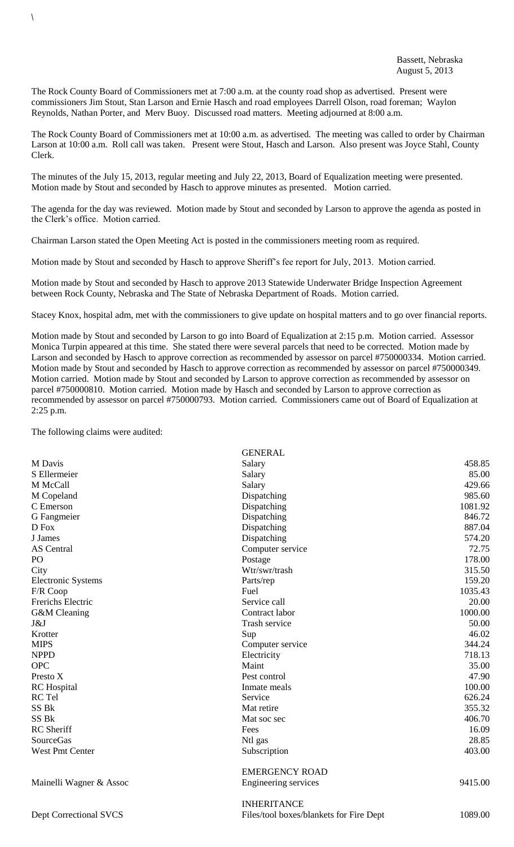The Rock County Board of Commissioners met at 7:00 a.m. at the county road shop as advertised. Present were commissioners Jim Stout, Stan Larson and Ernie Hasch and road employees Darrell Olson, road foreman; Waylon Reynolds, Nathan Porter, and Merv Buoy. Discussed road matters. Meeting adjourned at 8:00 a.m.

The Rock County Board of Commissioners met at 10:00 a.m. as advertised. The meeting was called to order by Chairman Larson at 10:00 a.m. Roll call was taken. Present were Stout, Hasch and Larson. Also present was Joyce Stahl, County Clerk.

The minutes of the July 15, 2013, regular meeting and July 22, 2013, Board of Equalization meeting were presented. Motion made by Stout and seconded by Hasch to approve minutes as presented. Motion carried.

The agenda for the day was reviewed. Motion made by Stout and seconded by Larson to approve the agenda as posted in the Clerk's office. Motion carried.

Chairman Larson stated the Open Meeting Act is posted in the commissioners meeting room as required.

Motion made by Stout and seconded by Hasch to approve Sheriff's fee report for July, 2013. Motion carried.

Motion made by Stout and seconded by Hasch to approve 2013 Statewide Underwater Bridge Inspection Agreement between Rock County, Nebraska and The State of Nebraska Department of Roads. Motion carried.

Stacey Knox, hospital adm, met with the commissioners to give update on hospital matters and to go over financial reports.

Motion made by Stout and seconded by Larson to go into Board of Equalization at 2:15 p.m. Motion carried. Assessor Monica Turpin appeared at this time. She stated there were several parcels that need to be corrected. Motion made by Larson and seconded by Hasch to approve correction as recommended by assessor on parcel #750000334. Motion carried. Motion made by Stout and seconded by Hasch to approve correction as recommended by assessor on parcel #750000349. Motion carried. Motion made by Stout and seconded by Larson to approve correction as recommended by assessor on parcel #750000810. Motion carried. Motion made by Hasch and seconded by Larson to approve correction as recommended by assessor on parcel #750000793. Motion carried. Commissioners came out of Board of Equalization at 2:25 p.m.

The following claims were audited:

|                           | <b>GENERAL</b>                          |         |
|---------------------------|-----------------------------------------|---------|
| M Davis                   | Salary                                  | 458.85  |
| S Ellermeier              | Salary                                  | 85.00   |
| M McCall                  | Salary                                  | 429.66  |
| M Copeland                | Dispatching                             | 985.60  |
| C Emerson                 | Dispatching                             | 1081.92 |
| G Fangmeier               | Dispatching                             | 846.72  |
| D Fox                     | Dispatching                             | 887.04  |
| J James                   | Dispatching                             | 574.20  |
| <b>AS</b> Central         | Computer service                        | 72.75   |
| PO                        | Postage                                 | 178.00  |
| City                      | Wtr/swr/trash                           | 315.50  |
| <b>Electronic Systems</b> | Parts/rep                               | 159.20  |
| F/R Coop                  | Fuel                                    | 1035.43 |
| Frerichs Electric         | Service call                            | 20.00   |
| G&M Cleaning              | Contract labor                          | 1000.00 |
| J&J                       | Trash service                           | 50.00   |
| Krotter                   | Sup                                     | 46.02   |
| <b>MIPS</b>               | Computer service                        | 344.24  |
| <b>NPPD</b>               | Electricity                             | 718.13  |
| <b>OPC</b>                | Maint                                   | 35.00   |
| Presto X                  | Pest control                            | 47.90   |
| <b>RC</b> Hospital        | Inmate meals                            | 100.00  |
| RC Tel                    | Service                                 | 626.24  |
| SS <sub>Bk</sub>          | Mat retire                              | 355.32  |
| SS Bk                     | Mat soc sec                             | 406.70  |
| <b>RC</b> Sheriff         | Fees                                    | 16.09   |
| <b>SourceGas</b>          | Ntl gas                                 | 28.85   |
| West Pmt Center           | Subscription                            | 403.00  |
|                           | <b>EMERGENCY ROAD</b>                   |         |
| Mainelli Wagner & Assoc   | Engineering services                    | 9415.00 |
|                           | <b>INHERITANCE</b>                      |         |
| Dept Correctional SVCS    | Files/tool boxes/blankets for Fire Dept | 1089.00 |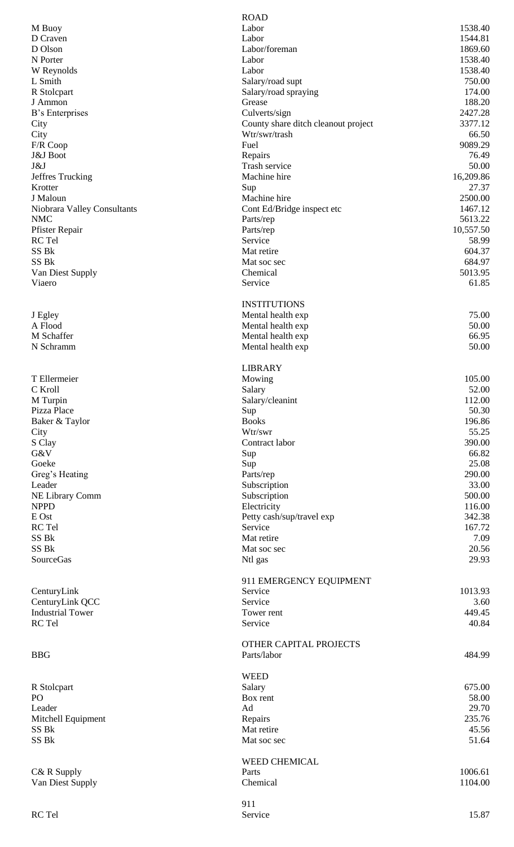|                             | <b>ROAD</b>                         |           |
|-----------------------------|-------------------------------------|-----------|
| M Buoy                      | Labor                               | 1538.40   |
| D Craven                    | Labor                               | 1544.81   |
| D Olson                     | Labor/foreman                       | 1869.60   |
| N Porter                    | Labor                               | 1538.40   |
| W Reynolds                  | Labor                               | 1538.40   |
| L Smith                     | Salary/road supt                    | 750.00    |
| R Stolcpart                 | Salary/road spraying                | 174.00    |
| J Ammon                     | Grease                              | 188.20    |
| B's Enterprises             | Culverts/sign                       | 2427.28   |
| City                        | County share ditch cleanout project | 3377.12   |
| City                        | Wtr/swr/trash                       | 66.50     |
| F/R Coop                    | Fuel                                | 9089.29   |
| J&J Boot                    | Repairs                             | 76.49     |
| J&J                         | Trash service                       | 50.00     |
| Jeffres Trucking            | Machine hire                        | 16,209.86 |
| Krotter                     | Sup                                 | 27.37     |
| J Maloun                    | Machine hire                        | 2500.00   |
| Niobrara Valley Consultants | Cont Ed/Bridge inspect etc          | 1467.12   |
| <b>NMC</b>                  | Parts/rep                           | 5613.22   |
| Pfister Repair              | Parts/rep                           | 10,557.50 |
| RC Tel                      | Service                             | 58.99     |
| SS Bk                       | Mat retire                          | 604.37    |
| SS Bk                       | Mat soc sec                         | 684.97    |
| Van Diest Supply            | Chemical                            | 5013.95   |
| Viaero                      | Service                             | 61.85     |
|                             |                                     |           |
|                             | <b>INSTITUTIONS</b>                 |           |
| J Egley                     | Mental health exp                   | 75.00     |
| A Flood                     | Mental health exp                   | 50.00     |
| M Schaffer                  |                                     | 66.95     |
|                             | Mental health exp                   |           |
| N Schramm                   | Mental health exp                   | 50.00     |
|                             |                                     |           |
|                             | <b>LIBRARY</b>                      |           |
| T Ellermeier                | Mowing                              | 105.00    |
| C Kroll                     | Salary                              | 52.00     |
| M Turpin                    | Salary/cleanint                     | 112.00    |
| Pizza Place                 | Sup                                 | 50.30     |
| Baker & Taylor              | <b>Books</b>                        | 196.86    |
| City                        | Wtr/swr                             | 55.25     |
| S Clay                      | Contract labor                      | 390.00    |
| G&V                         | Sup                                 | 66.82     |
| Goeke                       | Sup                                 | 25.08     |
| Greg's Heating              | Parts/rep                           | 290.00    |
| Leader                      | Subscription                        | 33.00     |
| NE Library Comm             | Subscription                        | 500.00    |
| <b>NPPD</b>                 | Electricity                         | 116.00    |
| E Ost                       | Petty cash/sup/travel exp           | 342.38    |
| RC Tel                      | Service                             | 167.72    |
| SS Bk                       | Mat retire                          | 7.09      |
| SS Bk                       | Mat soc sec                         | 20.56     |
| <b>SourceGas</b>            | Ntl gas                             | 29.93     |
|                             |                                     |           |
|                             | 911 EMERGENCY EQUIPMENT             |           |
| CenturyLink                 | Service                             | 1013.93   |
| CenturyLink QCC             | Service                             | 3.60      |
| <b>Industrial Tower</b>     | Tower rent                          | 449.45    |
| RC Tel                      | Service                             | 40.84     |
|                             |                                     |           |
|                             |                                     |           |
|                             | OTHER CAPITAL PROJECTS              |           |
| <b>BBG</b>                  | Parts/labor                         | 484.99    |
|                             |                                     |           |
|                             | <b>WEED</b>                         |           |
| R Stolcpart                 | Salary                              | 675.00    |
| PO                          | Box rent                            | 58.00     |
| Leader                      | Ad                                  | 29.70     |
| Mitchell Equipment          | Repairs                             | 235.76    |
| SS Bk                       | Mat retire                          | 45.56     |
| SS Bk                       | Mat soc sec                         | 51.64     |
|                             |                                     |           |
|                             | <b>WEED CHEMICAL</b>                |           |
| C& R Supply                 | Parts                               | 1006.61   |
| Van Diest Supply            | Chemical                            | 1104.00   |
|                             |                                     |           |
|                             | 911                                 |           |
| RC Tel                      | Service                             | 15.87     |